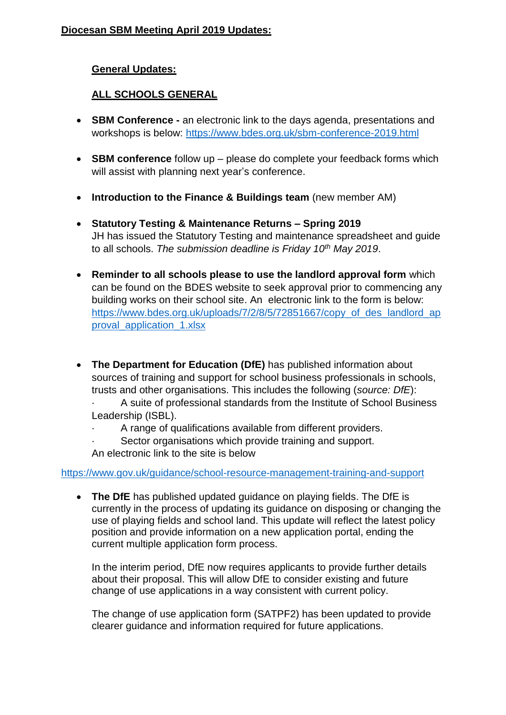#### **General Updates:**

### **ALL SCHOOLS GENERAL**

- **SBM Conference -** an electronic link to the days agenda, presentations and workshops is below: <https://www.bdes.org.uk/sbm-conference-2019.html>
- **SBM conference** follow up please do complete your feedback forms which will assist with planning next year's conference.
- **Introduction to the Finance & Buildings team** (new member AM)
- **Statutory Testing & Maintenance Returns – Spring 2019** JH has issued the Statutory Testing and maintenance spreadsheet and guide to all schools. *The submission deadline is Friday 10th May 2019*.
- **Reminder to all schools please to use the landlord approval form** which can be found on the BDES website to seek approval prior to commencing any building works on their school site. An electronic link to the form is below: [https://www.bdes.org.uk/uploads/7/2/8/5/72851667/copy\\_of\\_des\\_landlord\\_ap](https://www.bdes.org.uk/uploads/7/2/8/5/72851667/copy_of_des_landlord_approval_application_1.xlsx) [proval\\_application\\_1.xlsx](https://www.bdes.org.uk/uploads/7/2/8/5/72851667/copy_of_des_landlord_approval_application_1.xlsx)
- **The Department for Education (DfE)** has published information about sources of training and support for school business professionals in schools, trusts and other organisations. This includes the following (*source: DfE*):
	- · A suite of professional standards from the Institute of School Business Leadership (ISBL).
	- A range of qualifications available from different providers.
	- Sector organisations which provide training and support.
	- An electronic link to the site is below

#### <https://www.gov.uk/guidance/school-resource-management-training-and-support>

 **The DfE** has published updated guidance on playing fields. The DfE is currently in the process of updating its guidance on disposing or changing the use of playing fields and school land. This update will reflect the latest policy position and provide information on a new application portal, ending the current multiple application form process.

In the interim period, DfE now requires applicants to provide further details about their proposal. This will allow DfE to consider existing and future change of use applications in a way consistent with current policy.

The change of use application form (SATPF2) has been updated to provide clearer guidance and information required for future applications.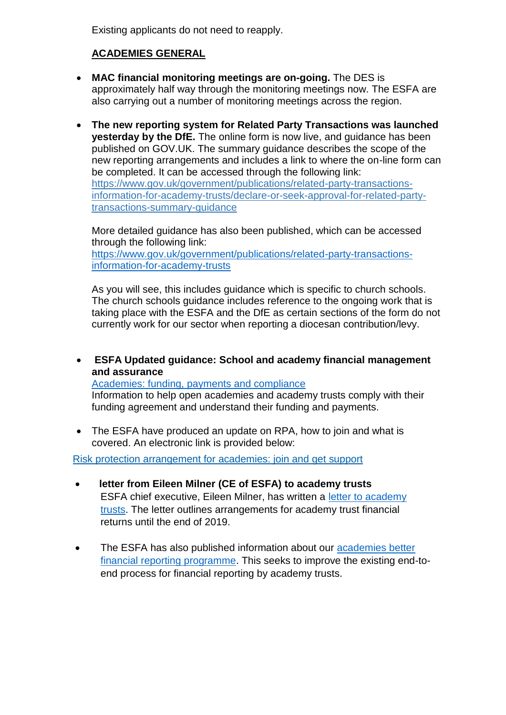Existing applicants do not need to reapply.

# **ACADEMIES GENERAL**

- **MAC financial monitoring meetings are on-going.** The DES is approximately half way through the monitoring meetings now. The ESFA are also carrying out a number of monitoring meetings across the region.
- **The new reporting system for Related Party Transactions was launched yesterday by the DfE.** The online form is now live, and quidance has been published on GOV.UK. The summary guidance describes the scope of the new reporting arrangements and includes a link to where the on-line form can be completed. It can be accessed through the following link: [https://www.gov.uk/government/publications/related-party-transactions](https://www.gov.uk/government/publications/related-party-transactions-information-for-academy-trusts/declare-or-seek-approval-for-related-party-transactions-summary-guidance)[information-for-academy-trusts/declare-or-seek-approval-for-related-party](https://www.gov.uk/government/publications/related-party-transactions-information-for-academy-trusts/declare-or-seek-approval-for-related-party-transactions-summary-guidance)[transactions-summary-guidance](https://www.gov.uk/government/publications/related-party-transactions-information-for-academy-trusts/declare-or-seek-approval-for-related-party-transactions-summary-guidance)

More detailed guidance has also been published, which can be accessed through the following link:

[https://www.gov.uk/government/publications/related-party-transactions](https://www.gov.uk/government/publications/related-party-transactions-information-for-academy-trusts)[information-for-academy-trusts](https://www.gov.uk/government/publications/related-party-transactions-information-for-academy-trusts)

As you will see, this includes guidance which is specific to church schools. The church schools guidance includes reference to the ongoing work that is taking place with the ESFA and the DfE as certain sections of the form do not currently work for our sector when reporting a diocesan contribution/levy.

 **ESFA Updated guidance: School and academy financial management and assurance**

[Academies: funding, payments and compliance](https://www.gov.uk/government/collections/academies-funding-payments-and-compliance?utm_source=9debfefc-534d-49d0-9d10-91a313bbfe33&utm_medium=email&utm_campaign=govuk-notifications&utm_content=daily) Information to help open academies and academy trusts comply with their funding agreement and understand their funding and payments.

• The ESFA have produced an update on RPA, how to join and what is covered. An electronic link is provided below:

Risk protection arrangement for academies: join and get support

- **letter from Eileen Milner (CE of ESFA) to academy trusts** ESFA chief executive, Eileen Milner, has written a [letter to academy](https://www.gov.uk/government/publications/letter-to-academy-trusts-march-2019)  [trusts.](https://www.gov.uk/government/publications/letter-to-academy-trusts-march-2019) The letter outlines arrangements for academy trust financial returns until the end of 2019.
- The ESFA has also published information about our academies better [financial reporting programme.](https://www.gov.uk/guidance/academies-financial-returns#academies-better-financial-reporting-programme) This seeks to improve the existing end-toend process for financial reporting by academy trusts.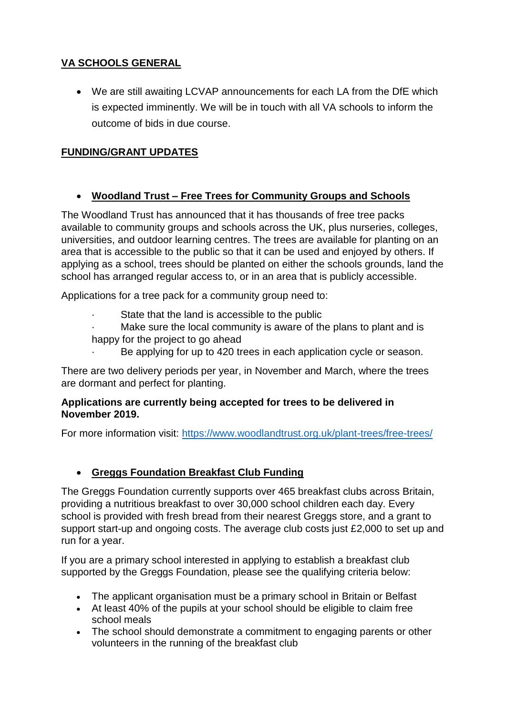# **VA SCHOOLS GENERAL**

 We are still awaiting LCVAP announcements for each LA from the DfE which is expected imminently. We will be in touch with all VA schools to inform the outcome of bids in due course.

# **FUNDING/GRANT UPDATES**

#### **Woodland Trust – Free Trees for Community Groups and Schools**

The Woodland Trust has announced that it has thousands of free tree packs available to community groups and schools across the UK, plus nurseries, colleges, universities, and outdoor learning centres. The trees are available for planting on an area that is accessible to the public so that it can be used and enjoyed by others. If applying as a school, trees should be planted on either the schools grounds, land the school has arranged regular access to, or in an area that is publicly accessible.

Applications for a tree pack for a community group need to:

- State that the land is accessible to the public
- Make sure the local community is aware of the plans to plant and is happy for the project to go ahead
	- Be applying for up to 420 trees in each application cycle or season.

There are two delivery periods per year, in November and March, where the trees are dormant and perfect for planting.

#### **Applications are currently being accepted for trees to be delivered in November 2019.**

For more information visit:<https://www.woodlandtrust.org.uk/plant-trees/free-trees/>

# **Greggs Foundation Breakfast Club Funding**

The Greggs Foundation currently supports over 465 breakfast clubs across Britain, providing a nutritious breakfast to over 30,000 school children each day. Every school is provided with fresh bread from their nearest Greggs store, and a grant to support start-up and ongoing costs. The average club costs just £2,000 to set up and run for a year.

If you are a primary school interested in applying to establish a breakfast club supported by the Greggs Foundation, please see the qualifying criteria below:

- The applicant organisation must be a primary school in Britain or Belfast
- At least 40% of the pupils at your school should be eligible to claim free school meals
- The school should demonstrate a commitment to engaging parents or other volunteers in the running of the breakfast club